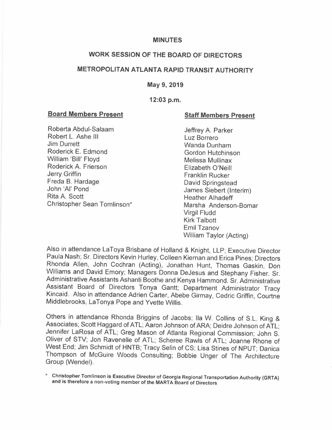#### **MINUTES**

## **WORK SESSION OF THE BOARD OF DIRECTORS**

# **METROPOLITAN ATLANTA RAPID TRANSIT AUTHORITY**

#### **May 9, 2019**

### **12:03 p.m.**

### **Board Members Present**

### **Staff Members Present**

Roberta Abdul-Salaam Robert L. Ashe III Jim Durrett Roderick E. Edmond William 'Bill' Floyd Roderick A. Frierson Jerry Griffin Freda B. Hardage John 'Al' Pond Rita A. Scott Christopher Sean Tomlinson\*

Jeffrey A. Parker Luz Borrero Wanda Dunham Gordon Hutchinson Melissa Mullinax Elizabeth O'Neill Franklin Rucker David Springstead James Siebert (Interim) Heather Alhadeff Marsha Anderson-Bomar Virgil Fludd Kirk Talbott Emil Tzanov William Taylor (Acting)

Also in attendance LaToya Brisbane of Holland & Knight, LLP; Executive Director Paula Nash; Sr. Directors Kevin Hurley, Colleen Kiernan and Erica Pines; Directors Rhonda Allen, John Cochran (Acting), Jonathan Hunt, Thomas Gaskin, Don Williams and David Emory; Managers Donna DeJesus and Stephany Fisher. Sr. Administrative Assistants Ashanti Boothe and Kenya Hammond. Sr. Administrative Assistant Board of Directors Tonya Gantt; Department Administrator Tracy Kincaid. Also in attendance Adrien Carter, Abebe Girmay, Cedric Griffin, Courtne Middlebrooks, LaTonya Pope and Yvette Willis.

Others in attendance Rhonda Briggins of Jacobs; Ila W. Collins of S.L. King & Associates; Scott Haggard of ATL; Aaron Johnson of ARA; Deidre Johnson of ATL; Jennifer LaRosa of ATL; Greg Mason of Atlanta Regional Commission; John S. Oliver of STV; Jon Ravenelle of ATL; Scheree Rawls of ATL; Joanne Rhone of West End; Jim Schmidt of HNTB; Tracy Selin of CS; Lisa Stines of NPUT; Danica Thompson of McGuire Woods Consulting; Bobbie Unger of The Architecture Group (Wendel).

\* **Christopher Tomlinson is Executive Director of Georgia Regional Transportation Authority (GRTA) and is therefore a non-voting member of the MARTA Board of Directors**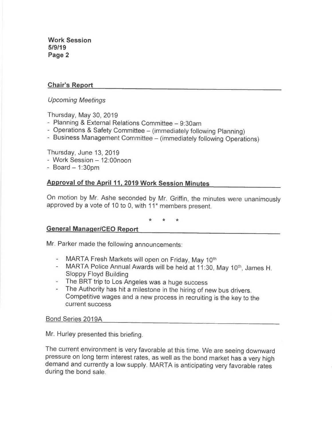# **Chair's Report**

## *Upcoming Meetings*

Thursday, May 30, 2019

- Planning & External Relations Committee 9:30am
- Operations & Safety Committee (immediately following Planning)
- Business Management Committee (immediately following Operations)

Thursday, June 13, 2019

- Work Session 12:00noon
- $-$  Board  $-$  1:30pm

# **Approval of the April 11, 2019 Work Session Minutes**

On motion by Mr. Ashe seconded by Mr. Griffin, the minutes were unanimously approved by a vote of 10 to 0, with 11<sup>\*</sup> members present.

\* \* \*

## **General Manager/CEO Report**

Mr. Parker made the following announcements:

- MARTA Fresh Markets will open on Friday, May 10<sup>th</sup>
- MARTA Police Annual Awards will be held at 11:30, May 10<sup>th</sup>, James H. Sloppy Floyd Building
- The BRT trip to Los Angeles was a huge success
- The Authority has hit a milestone in the hiring of new bus drivers. Competitive wages and a new process in recruiting is the key to the current success

### Bond Series 2019A

Mr. Hurley presented this briefing.

The current environment is very favorable at this time. We are seeing downward pressure on long term interest rates, as well as the bond market has a very high demand and currently a low supply. MARTA is anticipating very favorable rates during the bond sale.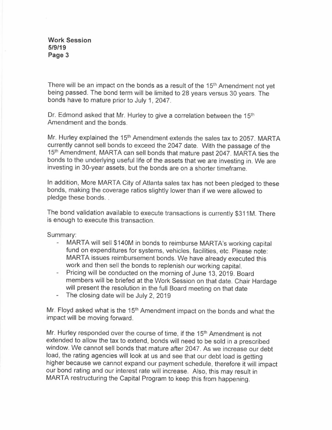There will be an impact on the bonds as a result of the 15<sup>th</sup> Amendment not yet being passed. The bond term will be limited to 28 years versus 30 years. The bonds have to mature prior to July 1, 2047.

Dr. Edmond asked that Mr. Hurley to give a correlation between the 15<sup>th</sup> Amendment and the bonds.

Mr. Hurley explained the 15<sup>th</sup> Amendment extends the sales tax to 2057. MARTA currently cannot sell bonds to exceed the 2047 date. With the passage of the 15 th Amendment, MARTA can sell bonds that mature past 2047. MARTA ties the bonds to the underlying useful life of the assets that we are investing in. We are investing in 30-year assets, but the bonds are on a shorter timeframe.

In addition, More MARTA City of Atlanta sales tax has not been pledged to these bonds, making the coverage ratios slightly lower than if we were allowed to pledge these bonds...

The bond validation available to execute transactions is currently \$311 M. There is enough to execute this transaction.

Summary:

- MARTA will sell \$140M in bonds to reimburse MARTA's working capital fund on expenditures for systems, vehicles, facilities, etc. Please note: MARTA issues reimbursement bonds. We have already executed this work and then sell the bonds to replenish our working capital.
- Pricing will be conducted on the morning of June 13, 2019. Board members will be briefed at the Work Session on that date. Chair Hardage will present the resolution in the full Board meeting on that date
- $\mathcal{L}^{\text{max}}$ The closing date will be July 2, 2019

Mr. Floyd asked what is the 15<sup>th</sup> Amendment impact on the bonds and what the impact will be moving forward.

Mr. Hurley responded over the course of time, if the 15<sup>th</sup> Amendment is not extended to allow the tax to extend, bonds will need to be sold in a prescribed window. We cannot sell bonds that mature after 2047. As we increase our debt load, the rating agencies will look at us and see that our debt load is getting higher because we cannot expand our payment schedule, therefore it will impact our bond rating and our interest rate will increase. Also, this may result in MARTA restructuring the Capital Program to keep this from happening.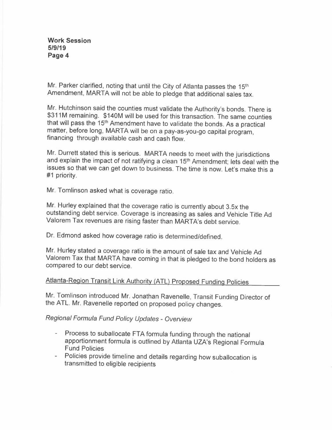Mr. Parker clarified, noting that until the City of Atlanta passes the 15<sup>th</sup> Amendment, MARTA will not be able to pledge that additional sales tax.

Mr. Hutchinson said the counties must validate the Authority's bonds. There is \$311M remaining. \$140M will be used for this transaction. The same counties that will pass the 15<sup>th</sup> Amendment have to validate the bonds. As a practical matter, before long, MARTA will be on a pay-as-you-go capital program, financing through available cash and cash flow.

Mr. Durrett stated this is serious. MARTA needs to meet with the jurisdictions and explain the impact of not ratifying a clean 15<sup>th</sup> Amendment; lets deal with the issues so that we can get down to business. The time is now. Let's make this a #1 priority.

Mr. Tomlinson asked what is coverage ratio.

Mr. Hurley explained that the coverage ratio is currently about 3.5x the outstanding debt service. Coverage is increasing as sales and Vehicle Title Ad Valorem Tax revenues are rising faster than MARTA's debt service.

Dr. Edmond asked how coverage ratio is determined/defined.

Mr. Hurley stated a coverage ratio is the amount of sale tax and Vehicle Ad Valorem Tax that MARTA have coming in that is pledged to the bond holders as compared to our debt service.

# Atlanta-Region Transit Link Authority (ATL) Proposed Funding Policies

Mr. Tomlinson introduced Mr. Jonathan Ravenelle, Transit Funding Director of the ATL. Mr. Ravenelle reported on proposed policy changes.

## *Regional Formula Fund Policy Updates - Overview*

- Process to suballocate FTA formula funding through the national apportionment formula is outlined by Atlanta UZA's Regional Formula Fund Policies
- Policies provide timeline and details regarding how suballocation is transmitted to eligible recipients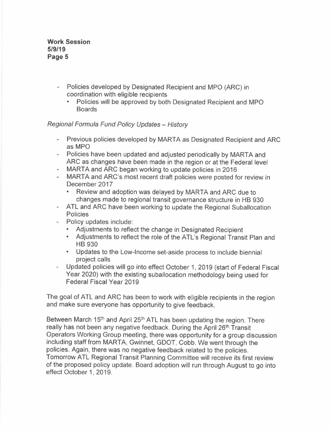- Policies developed by Designated Recipient and MPO (ARC) in coordination with eligible recipients
	- Policies will be approved by both Designated Recipient and MPO Boards

## *Regional Formula Fund Policy Updates - History*

- $\overline{a}$ Previous policies developed by MARTA as Designated Recipient and ARC as MPO
- Policies have been updated and adjusted periodically by MARTA and ARC as changes have been made in the region or at the Federal level
- MARTA and ARC began working to update policies in 2016
- MARTA and ARC's most recent draft policies were posted for review in December 2017
	- Review and adoption was delayed by MARTA and ARC due to changes made to regional transit governance structure in HB 930
- ATL and ARC have been working to update the Regional Suballocation **Policies**
- Policy updates include:
	- Adjustments to reflect the change in Designated Recipient
	- Adjustments to reflect the role of the ATL's Regional Transit Plan and HB 930
	- Updates to the Low-Income set-aside process to include biennial project calls
- Updated policies will go into effect October 1, 2019 (start of Federal Fiscal Year 2020) with the existing suballocation methodology being used for Federal Fiscal Year 2019

The goal of ATL and ARC has been to work with eligible recipients in the region and make sure everyone has opportunity to give feedback.

Between March 15<sup>th</sup> and April 25<sup>th</sup> ATL has been updating the region. There really has not been any negative feedback. During the April 26<sup>th</sup> Transit Operators Working Group meeting, there was opportunity for a group discussion including staff from MARTA, Gwinnet, GDOT, Cobb. We went through the policies. Again, there was no negative feedback related to the policies. Tomorrow ATL Regional Transit Planning Committee will receive its first review of the proposed policy update. Board adoption will run through August to go into effect October 1, 2019.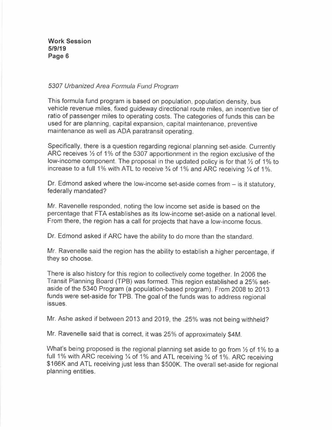### *5307 Urbanized Area Formula Fund Program*

This formula fund program is based on population, population density, bus vehicle revenue miles, fixed guideway directional route miles, an incentive tier of ratio of passenger miles to operating costs. The categories of funds this can be used for are planning, capital expansion, capital maintenance, preventive maintenance as well as ADA paratransit operating.

Specifically, there is a question regarding regional planning set-aside. Currently ARC receives  $\frac{1}{2}$  of 1% of the 5307 apportionment in the region exclusive of the low-income component. The proposal in the updated policy is for that  $\frac{1}{2}$  of 1% to increase to a full 1% with ATL to receive  $\frac{3}{4}$  of 1% and ARC receiving  $\frac{1}{4}$  of 1%.

Dr. Edmond asked where the low-income set-aside comes from  $-$  is it statutory, federally mandated?

Mr. Ravenelle responded, noting the low income set aside is based on the percentage that FTA establishes as its low-income set-aside on a national level. From there, the region has a call for projects that have a low-income focus.

Dr. Edmond asked if ARC have the ability to do more than the standard.

Mr. Ravenelle said the region has the ability to establish a higher percentage, if they so choose.

There is also history for this region to collectively come together. In 2006 the Transit Planning Board (TPB) was formed. This region established a 25% setaside of the 5340 Program (a population-based program). From 2008 to 2013 funds were set-aside for TPB. The goal of the funds was to address regional issues.

Mr. Ashe asked if between 2013 and 2019, the .25% was not being withheld?

Mr. Ravenelle said that is correct, it was 25% of approximately \$4M.

What's being proposed is the regional planning set aside to go from  $\frac{1}{2}$  of 1% to a full 1% with ARC receiving  $\frac{1}{4}$  of 1% and ATL receiving  $\frac{3}{4}$  of 1%. ARC receiving \$166K and ATL receiving just less than \$500K. The overall set-aside for regional planning entities.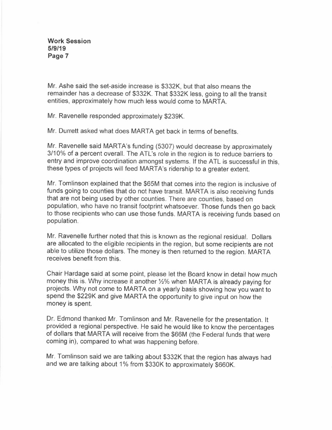Mr. Ashe said the set-aside increase is \$332K, but that also means the remainder has a decrease of \$332K. That \$332K less, going to all the transit entities, approximately how much less would come to MARTA.

Mr. Ravenelle responded approximately \$239K.

Mr. Durrett asked what does MARTA get back in terms of benefits.

Mr. Ravenelle said MARTA's funding (5307) would decrease by approximately 3/10% of a percent overall. The ATL's role in the region is to reduce barriers to entry and improve coordination amongst systems. If the ATL is successful in this, these types of projects will feed MARTA's ridership to a greater extent.

Mr. Tomlinson explained that the \$65M that comes into the region is inclusive of funds going to counties that do not have transit. MARTA is also receiving funds that are not being used by other counties. There are counties, based on population, who have no transit footprint whatsoever. Those funds then go back to those recipients who can use those funds. MARTA is receiving funds based on population.

Mr. Ravenelle further noted that this is known as the regional residual. Dollars are allocated to the eligible recipients in the region, but some recipients are not able to utilize those dollars. The money is then returned to the region. MARTA receives benefit from this.

Chair Hardage said at some point, please let the Board know in detail how much money this is. Why increase it another  $\frac{1}{2}$ % when MARTA is already paying for projects. Why not come to MARTA on a yearly basis showing how you want to spend the \$229K and give MARTA the opportunity to give input on how the money is spent.

Dr. Edmond thanked Mr. Tomlinson and Mr. Ravenelle for the presentation. It provided a regional perspective. He said he would like to know the percentages of dollars that MARTA will receive from the \$66M (the Federal funds that were coming in), compared to what was happening before.

Mr. Tomlinson said we are talking about \$332K that the region has always had and we are talking about 1% from \$330K to approximately \$660K.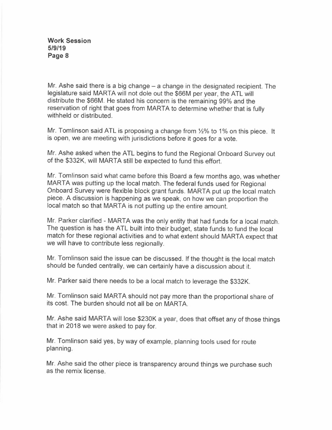Mr. Ashe said there is a big change  $-$  a change in the designated recipient. The legislature said MARTA will not dole out the \$66M per year, the ATL will distribute the \$66M. He stated his concern is the remaining 99% and the reservation of right that goes from MARTA to determine whether that is fully withheld or distributed.

Mr. Tomlinson said ATL is proposing a change from½% to 1% on this piece. It is open, we are meeting with jurisdictions before it goes for a vote.

Mr. Ashe asked when the ATL begins to fund the Regional Onboard Survey out of the \$332K, will MARTA still be expected to fund this effort.

Mr. Tomlinson said what came before this Board a few months ago, was whether MARTA was putting up the local match. The federal funds used for Regional Onboard Survey were flexible block grant funds. MARTA put up the local match piece. A discussion is happening as we speak, on how we can proportion the local match so that MARTA is not putting up the entire amount.

Mr. Parker clarified - MARTA was the only entity that had funds for a local match. The question is has the ATL built into their budget, state funds to fund the local match for these regional activities and to what extent should MARTA expect that we will have to contribute less regionally.

Mr. Tomlinson said the issue can be discussed. If the thought is the local match should be funded centrally, we can certainly have a discussion about it.

Mr. Parker said there needs to be a local match to leverage the \$332K.

Mr. Tomlinson said MARTA should not pay more than the proportional share of its cost. The burden should not all be on MARTA.

Mr. Ashe said MARTA will lose \$230K a year, does that offset any of those things that in 2018 we were asked to pay for.

Mr. Tomlinson said yes, by way of example, planning tools used for route planning.

Mr. Ashe said the other piece is transparency around things we purchase such as the remix license.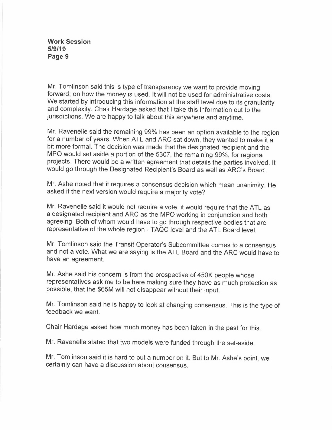Mr. Tomlinson said this is type of transparency we want to provide moving forward; on how the money is used. It will not be used for administrative costs. We started by introducing this information at the staff level due to its granularity and complexity. Chair Hardage asked that I take this information out to the jurisdictions. We are happy to talk about this anywhere and anytime.

Mr. Ravenelle said the remaining 99% has been an option available to the region for a number of years. When ATL and ARC sat down, they wanted to make it a bit more formal. The decision was made that the designated recipient and the MPO would set aside a portion of the 5307, the remaining 99%, for regional projects. There would be a written agreement that details the parties involved. It would go through the Designated Recipient's Board as well as ARC's Board.

Mr. Ashe noted that it requires a consensus decision which mean unanimity. He asked if the next version would require a majority vote?

Mr. Ravenelle said it would not require a vote, it would require that the ATL as a designated recipient and ARC as the MPO working in conjunction and both agreeing. Both of whom would have to go through respective bodies that are representative of the whole region - TAQC level and the ATL Board level.

Mr. Tomlinson said the Transit Operator's Subcommittee comes to a consensus and not a vote. What we are saying is the ATL Board and the ARC would have to have an agreement.

Mr. Ashe said his concern is from the prospective of 450K people whose representatives ask me to be here making sure they have as much protection as possible, that the \$65M will not disappear without their input.

Mr. Tomlinson said he is happy to look at changing consensus. This is the type of feedback we want.

Chair Hardage asked how much money has been taken in the past for this.

Mr. Ravenelle stated that two models were funded through the set-aside.

Mr. Tomlinson said it is hard to put a number on it. But to Mr. Ashe's point, we certainly can have a discussion about consensus.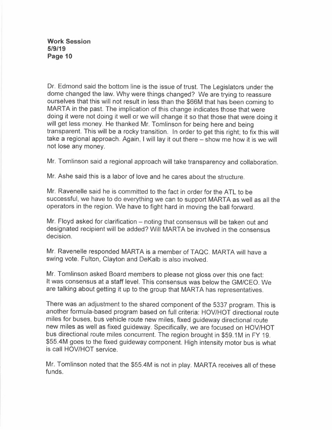Dr. Edmond said the bottom line is the issue of trust. The Legislators under the dome changed the law. Why were things changed? We are trying to reassure ourselves that this will not result in less than the \$66M that has been coming to MARTA in the past. The implication of this change indicates those that were doing it were not doing it well or we will change it so that those that were doing it will get less money. He thanked Mr. Tomlinson for being here and being transparent. This will be a rocky transition. In order to get this right; to fix this will take a regional approach. Again, I will lay it out there - show me how it is we will not lose any money.

Mr. Tomlinson said a regional approach will take transparency and collaboration.

Mr. Ashe said this is a labor of love and he cares about the structure.

Mr. Ravenelle said he is committed to the fact in order for the ATL to be successful, we have to do everything we can to support MARTA as well as all the operators in the region. We have to fight hard in moving the ball forward.

Mr. Floyd asked for clarification – noting that consensus will be taken out and designated recipient will be added? Will MARTA be involved in the consensus decision.

Mr. Ravenelle responded MARTA is a member of TAQC. MARTA will have a swing vote. Fulton, Clayton and DeKalb is also involved.

Mr. Tomlinson asked Board members to please not gloss over this one fact: It was consensus at a staff level. This consensus was below the GM/CEO. We are talking about getting it up to the group that MARTA has representatives.

There was an adjustment to the shared component of the 5337 program. This is another formula-based program based on full criteria: HOV/HOT directional route miles for buses, bus vehicle route new miles, fixed guideway directional route new miles as well as fixed guideway. Specifically, we are focused on HOV/HOT bus directional route miles concurrent. The region brought in \$59.1M in FY 19. \$55.4M goes to the fixed guideway component. High intensity motor bus is what is call HOV/HOT service.

Mr. Tomlinson noted that the \$55.4M is not in play. MARTA receives all of these funds.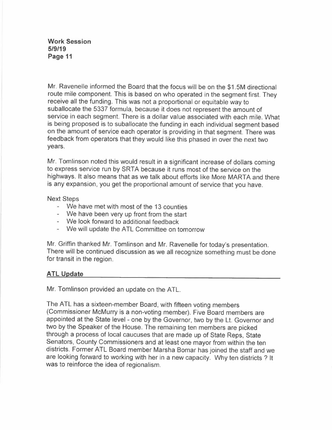Mr. Ravenelle informed the Board that the focus will be on the \$1.5M directional route mile component. This is based on who operated in the segment first. They receive all the funding. This was not a proportional or equitable way to suballocate the 5337 formula, because it does not represent the amount of service in each segment. There is a dollar value associated with each mile. What is being proposed is to suballocate the funding in each individual segment based on the amount of service each operator is providing in that segment. There was feedback from operators that they would like this phased in over the next two years.

Mr. Tomlinson noted this would result in a significant increase of dollars coming to express service run by SRTA because it runs most of the service on the highways. It also means that as we talk about efforts like More MARTA and there is any expansion, you get the proportional amount of service that you have.

### Next Steps

- We have met with most of the 13 counties
- We have been very up front from the start
- We look forward to additional feedback
- We will update the ATL Committee on tomorrow

Mr. Griffin thanked Mr. Tomlinson and Mr. Ravenelle for today's presentation. There will be continued discussion as we all recognize something must be done for transit in the region.

## **ATL Update**

Mr. Tomlinson provided an update on the ATL.

The ATL has a sixteen-member Board, with fifteen voting members (Commissioner McMurry is a non-voting member). Five Board members are appointed at the State level - one by the Governor, two by the Lt. Governor and two by the Speaker of the House. The remaining ten members are picked through a process of local caucuses that are made up of State Reps, State Senators, County Commissioners and at least one mayor from within the ten districts. Former ATL Board member Marsha Bomar has joined the staff and we are looking forward to working with her in a new capacity. Why ten districts ? It was to reinforce the idea of regionalism.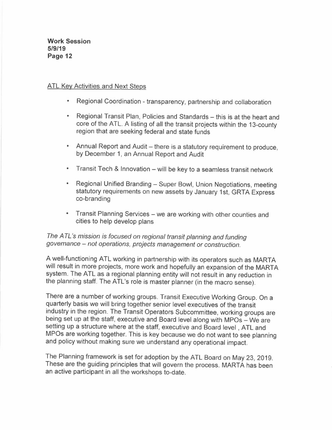### ATL Key Activities and Next Steps

- Regional Coordination transparency, partnership and collaboration
- Regional Transit Plan, Policies and Standards this is at the heart and core of the ATL. A listing of all the transit projects within the 13-county region that are seeking federal and state funds
- Annual Report and Audit there is a statutory requirement to produce, by December 1, an Annual Report and Audit
- Transit Tech & Innovation will be key to a seamless transit network
- Regional Unified Branding Super Bowl, Union Negotiations, meeting statutory requirements on new assets by January 1st, GRTA Express co-branding
- Transit Planning Services we are working with other counties and cities to help develop plans

# *The A TL 's mission is focused on regional transit planning and funding governance - not operations, projects management or construction.*

A well-functioning ATL working in partnership with its operators such as MARTA will result in more projects, more work and hopefully an expansion of the MARTA system. The ATL as a regional planning entity will not result in any reduction in the planning staff. The ATL's role is master planner (in the macro sense).

There are a number of working groups. Transit Executive Working Group. On a quarterly basis we will bring together senior level executives of the transit industry in the region. The Transit Operators Subcommittee, working groups are being set up at the staff, executive and Board level along with MPOs - We are setting up a structure where at the staff, executive and Board level , ATL and MPOs are working together. This is key because we do not want to see planning and policy without making sure we understand any operational impact.

The Planning framework is set for adoption by the ATL Board on May 23, 2019. These are the guiding principles that will govern the process. MARTA has been an active participant in all the workshops to-date.